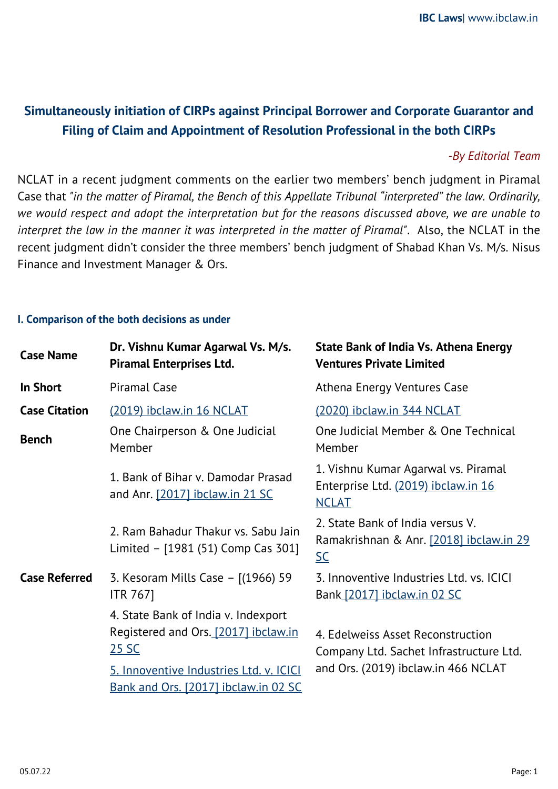# **Simultaneously initiation of CIRPs against Principal Borrower and Corporate Guarantor and Filing of Claim and Appointment of Resolution Professional in the both CIRPs**

## *-By Editorial Team*

NCLAT in a recent judgment comments on the earlier two members' bench judgment in Piramal Case that *"in the matter of Piramal, the Bench of this Appellate Tribunal "interpreted" the law. Ordinarily, we would respect and adopt the interpretation but for the reasons discussed above, we are unable to interpret the law in the manner it was interpreted in the matter of Piramal"*. Also, the NCLAT in the recent judgment didn't consider the three members' bench judgment of Shabad Khan Vs. M/s. Nisus Finance and Investment Manager & Ors.

## **I. Comparison of the both decisions as under**

| <b>Case Name</b>     | Dr. Vishnu Kumar Agarwal Vs. M/s.<br><b>Piramal Enterprises Ltd.</b>                                                                                                    | <b>State Bank of India Vs. Athena Energy</b><br><b>Ventures Private Limited</b>                                     |
|----------------------|-------------------------------------------------------------------------------------------------------------------------------------------------------------------------|---------------------------------------------------------------------------------------------------------------------|
| <b>In Short</b>      | <b>Piramal Case</b>                                                                                                                                                     | Athena Energy Ventures Case                                                                                         |
| <b>Case Citation</b> | (2019) ibclaw.in 16 NCLAT                                                                                                                                               | <u>(2020) ibclaw.in 344 NCLAT</u>                                                                                   |
| <b>Bench</b>         | One Chairperson & One Judicial<br>Member                                                                                                                                | One Judicial Member & One Technical<br>Member                                                                       |
|                      | 1. Bank of Bihar v. Damodar Prasad<br>and Anr. [2017] ibclaw.in 21 SC                                                                                                   | 1. Vishnu Kumar Agarwal vs. Piramal<br>Enterprise Ltd. (2019) ibclaw.in 16<br><b>NCLAT</b>                          |
|                      | 2. Ram Bahadur Thakur vs. Sabu Jain<br>Limited - [1981 (51) Comp Cas 301]                                                                                               | 2. State Bank of India versus V.<br>Ramakrishnan & Anr. [2018] ibclaw.in 29<br>$SC$                                 |
| <b>Case Referred</b> | 3. Kesoram Mills Case - [(1966) 59<br><b>ITR 7671</b>                                                                                                                   | 3. Innoventive Industries Ltd. vs. ICICI<br>Bank [2017] ibclaw.in 02 SC                                             |
|                      | 4. State Bank of India v. Indexport<br>Registered and Ors. [2017] ibclaw.in<br>25 SC<br>5. Innoventive Industries Ltd. v. ICICI<br>Bank and Ors. [2017] ibclaw.in 02 SC | 4. Edelweiss Asset Reconstruction<br>Company Ltd. Sachet Infrastructure Ltd.<br>and Ors. (2019) ibclaw.in 466 NCLAT |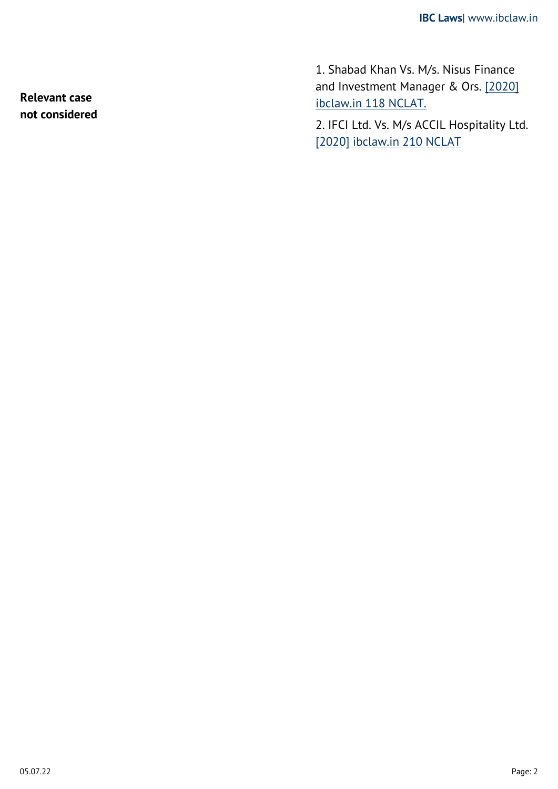1. Shabad Khan Vs. M/s. Nisus Finance and Investment Manager & Ors. [\[2020\]](https://ibclaw.in/shabad-khan-vs-m-s-nisus-finance-and-investment-manager-ors-nclat/) [ibclaw.in 118 NCLAT.](https://ibclaw.in/shabad-khan-vs-m-s-nisus-finance-and-investment-manager-ors-nclat/)

2. IFCI Ltd. Vs. M/s ACCIL Hospitality Ltd. [\[2020\] ibclaw.in 210 NCLAT](https://ibclaw.in/invoking-of-jurisdiction-of-the-adjudicating-authority-at-its-instance-for-triggering-a-fresh-cirp-against-the-corporate-guarantor-would-amount-to-duplicity-of-claims-being-pressed-ifci-ltd-vs-m-s-a/)

**Relevant case not considered**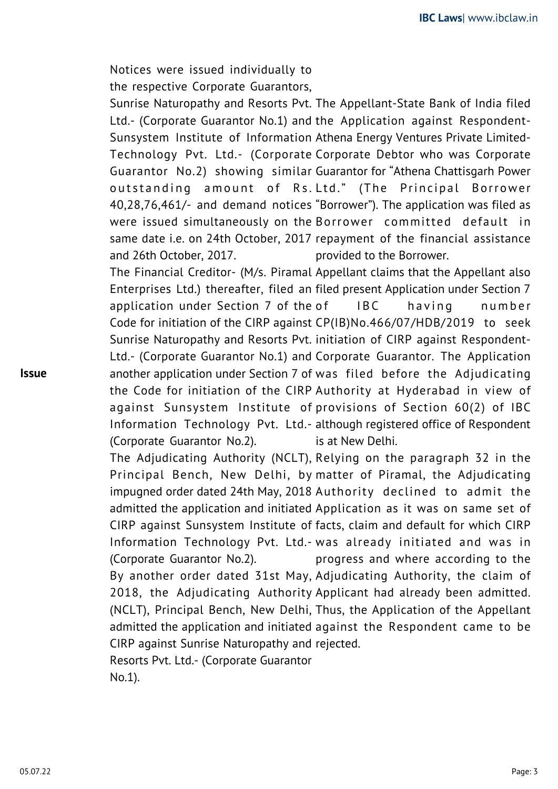Notices were issued individually to the respective Corporate Guarantors,

Sunrise Naturopathy and Resorts Pvt. The Appellant-State Bank of India filed Ltd.- (Corporate Guarantor No.1) and the Application against Respondent-Sunsystem Institute of Information Athena Energy Ventures Private Limited-Technology Pvt. Ltd.- (Corporate Corporate Debtor who was Corporate Guarantor No.2) showing similar Guarantor for "Athena Chattisgarh Power outstanding amount of Rs. Ltd." (The Principal Borrower 40,28,76,461/- and demand notices "Borrower"). The application was filed as were issued simultaneously on the Borrower committed default in same date i.e. on 24th October, 2017 repayment of the financial assistance and 26th October, 2017. provided to the Borrower.

The Financial Creditor- (M/s. Piramal Appellant claims that the Appellant also Enterprises Ltd.) thereafter, filed an filed present Application under Section 7 application under Section 7 of the Code for initiation of the CIRP against CP(IB)No.466/07/HDB/2019 to seek Sunrise Naturopathy and Resorts Pvt. initiation of CIRP against Respondent-Ltd.- (Corporate Guarantor No.1) and Corporate Guarantor. The Application another application under Section 7 of was filed before the Adjudicating the Code for initiation of the CIRP Authority at Hyderabad in view of against Sunsystem Institute of provisions of Section 60(2) of IBC Information Technology Pvt. Ltd.- although registered office of Respondent (Corporate Guarantor No.2). IBC having number is at New Delhi.

The Adjudicating Authority (NCLT), Relying on the paragraph 32 in the Principal Bench, New Delhi, by matter of Piramal, the Adjudicating impugned order dated 24th May, 2018 Authority declined to admit the admitted the application and initiated Application as it was on same set of CIRP against Sunsystem Institute of facts, claim and default for which CIRP Information Technology Pvt. Ltd.- was already initiated and was in (Corporate Guarantor No.2). By another order dated 31st May, Adjudicating Authority, the claim of 2018, the Adjudicating Authority Applicant had already been admitted. (NCLT), Principal Bench, New Delhi, Thus, the Application of the Appellant admitted the application and initiated against the Respondent came to be CIRP against Sunrise Naturopathy and rejected.Resorts Pvt. Ltd.- (Corporate Guarantor progress and where according to the

No.1).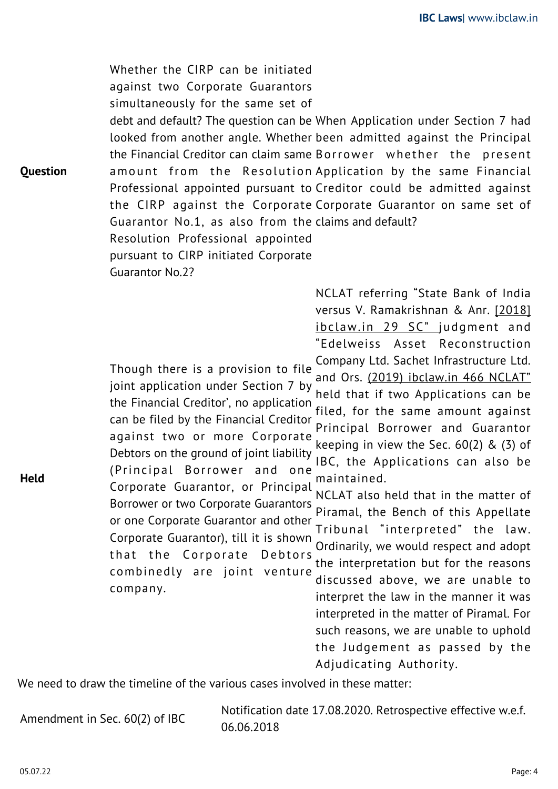**Question** Whether the CIRP can be initiated against two Corporate Guarantors simultaneously for the same set of debt and default? The question can be When Application under Section 7 had looked from another angle. Whether been admitted against the Principal the Financial Creditor can claim same Borrower whether the present amount from the Resolution Application by the same Financial Professional appointed pursuant to Creditor could be admitted against the CIRP against the Corporate Corporate Guarantor on same set of Guarantor No.1, as also from the claims and default? Resolution Professional appointed pursuant to CIRP initiated Corporate Guarantor No.2?

> Though there is a provision to file joint application under Section 7 by the Financial Creditor', no application can be filed by the Financial Creditor against two or more Corporate Debtors on the ground of joint liability (Principal Borrower and one Corporate Guarantor, or Principal

> Borrower or two Corporate Guarantors or one Corporate Guarantor and other Corporate Guarantor), till it is shown that the Corporate Debtors combinedly are joint venture company.

NCLAT referring "State Bank of India versus V. Ramakrishnan & Anr. [\[2018\]](https://ibclaw.in/state-bank-of-india-vs-v-ramakrishnan-anr-supreme-court/) [ibclaw.in 29 SC"](https://ibclaw.in/state-bank-of-india-vs-v-ramakrishnan-anr-supreme-court/) judgment and "Edelweiss Asset Reconstruction Company Ltd. Sachet Infrastructure Ltd.

and Ors. [\(2019\) ibclaw.in 466 NCLAT"](https://ibclaw.in/state-bank-of-india-vs-v-ramakrishnan-anr-supreme-court/) held that if two Applications can be filed, for the same amount against Principal Borrower and Guarantor keeping in view the Sec. 60(2) & (3) of IBC, the Applications can also be maintained.

NCLAT also held that in the matter of Piramal, the Bench of this Appellate Tribunal "interpreted" the law. Ordinarily, we would respect and adopt the interpretation but for the reasons discussed above, we are unable to interpret the law in the manner it was interpreted in the matter of Piramal. For such reasons, we are unable to uphold the Judgement as passed by the Adjudicating Authority.

We need to draw the timeline of the various cases involved in these matter:

Amendment in Sec. 60(2) of IBC Notification date 17.08.2020. Retrospective effective w.e.f. 06.06.2018

**Held**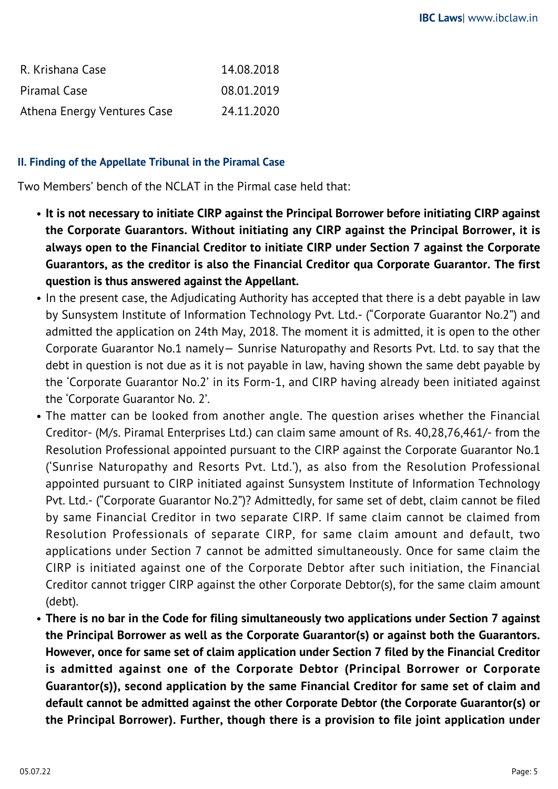| R. Krishana Case            | 14.08.2018 |
|-----------------------------|------------|
| Piramal Case                | 08.01.2019 |
| Athena Energy Ventures Case | 24.11.2020 |

# **II. Finding of the Appellate Tribunal in the Piramal Case**

Two Members' bench of the NCLAT in the Pirmal case held that:

- **It is not necessary to initiate CIRP against the Principal Borrower before initiating CIRP against the Corporate Guarantors. Without initiating any CIRP against the Principal Borrower, it is always open to the Financial Creditor to initiate CIRP under Section 7 against the Corporate Guarantors, as the creditor is also the Financial Creditor qua Corporate Guarantor. The first question is thus answered against the Appellant.**
- In the present case, the Adjudicating Authority has accepted that there is a debt payable in law by Sunsystem Institute of Information Technology Pvt. Ltd.- ("Corporate Guarantor No.2") and admitted the application on 24th May, 2018. The moment it is admitted, it is open to the other Corporate Guarantor No.1 namely— Sunrise Naturopathy and Resorts Pvt. Ltd. to say that the debt in question is not due as it is not payable in law, having shown the same debt payable by the 'Corporate Guarantor No.2' in its Form-1, and CIRP having already been initiated against the 'Corporate Guarantor No. 2'.
- The matter can be looked from another angle. The question arises whether the Financial Creditor- (M/s. Piramal Enterprises Ltd.) can claim same amount of Rs. 40,28,76,461/- from the Resolution Professional appointed pursuant to the CIRP against the Corporate Guarantor No.1 ('Sunrise Naturopathy and Resorts Pvt. Ltd.'), as also from the Resolution Professional appointed pursuant to CIRP initiated against Sunsystem Institute of Information Technology Pvt. Ltd.- ("Corporate Guarantor No.2")? Admittedly, for same set of debt, claim cannot be filed by same Financial Creditor in two separate CIRP. If same claim cannot be claimed from Resolution Professionals of separate CIRP, for same claim amount and default, two applications under Section 7 cannot be admitted simultaneously. Once for same claim the CIRP is initiated against one of the Corporate Debtor after such initiation, the Financial Creditor cannot trigger CIRP against the other Corporate Debtor(s), for the same claim amount (debt).
- **There is no bar in the Code for filing simultaneously two applications under Section 7 against the Principal Borrower as well as the Corporate Guarantor(s) or against both the Guarantors. However, once for same set of claim application under Section 7 filed by the Financial Creditor is admitted against one of the Corporate Debtor (Principal Borrower or Corporate Guarantor(s)), second application by the same Financial Creditor for same set of claim and default cannot be admitted against the other Corporate Debtor (the Corporate Guarantor(s) or the Principal Borrower). Further, though there is a provision to file joint application under**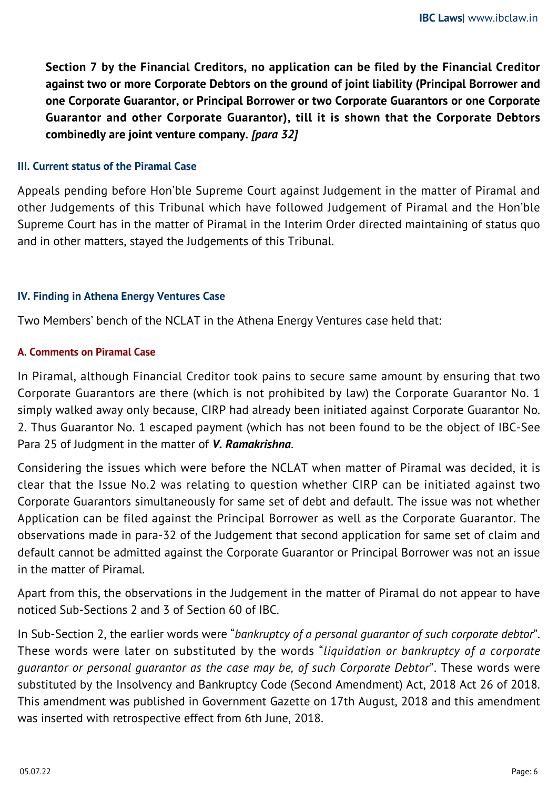**Section 7 by the Financial Creditors, no application can be filed by the Financial Creditor against two or more Corporate Debtors on the ground of joint liability (Principal Borrower and one Corporate Guarantor, or Principal Borrower or two Corporate Guarantors or one Corporate Guarantor and other Corporate Guarantor), till it is shown that the Corporate Debtors combinedly are joint venture company.** *[para 32]*

## **III. Current status of the Piramal Case**

Appeals pending before Hon'ble Supreme Court against Judgement in the matter of Piramal and other Judgements of this Tribunal which have followed Judgement of Piramal and the Hon'ble Supreme Court has in the matter of Piramal in the Interim Order directed maintaining of status quo and in other matters, stayed the Judgements of this Tribunal.

## **IV. Finding in Athena Energy Ventures Case**

Two Members' bench of the NCLAT in the Athena Energy Ventures case held that:

## **A. Comments on Piramal Case**

In Piramal, although Financial Creditor took pains to secure same amount by ensuring that two Corporate Guarantors are there (which is not prohibited by law) the Corporate Guarantor No. 1 simply walked away only because, CIRP had already been initiated against Corporate Guarantor No. 2. Thus Guarantor No. 1 escaped payment (which has not been found to be the object of IBC-See Para 25 of Judgment in the matter of *V. Ramakrishna*.

Considering the issues which were before the NCLAT when matter of Piramal was decided, it is clear that the Issue No.2 was relating to question whether CIRP can be initiated against two Corporate Guarantors simultaneously for same set of debt and default. The issue was not whether Application can be filed against the Principal Borrower as well as the Corporate Guarantor. The observations made in para-32 of the Judgement that second application for same set of claim and default cannot be admitted against the Corporate Guarantor or Principal Borrower was not an issue in the matter of Piramal.

Apart from this, the observations in the Judgement in the matter of Piramal do not appear to have noticed Sub-Sections 2 and 3 of Section 60 of IBC.

In Sub-Section 2, the earlier words were "*bankruptcy of a personal guarantor of such corporate debtor*". These words were later on substituted by the words "*liquidation or bankruptcy of a corporate guarantor or personal guarantor as the case may be, of such Corporate Debtor*". These words were substituted by the Insolvency and Bankruptcy Code (Second Amendment) Act, 2018 Act 26 of 2018. This amendment was published in Government Gazette on 17th August, 2018 and this amendment was inserted with retrospective effect from 6th June, 2018.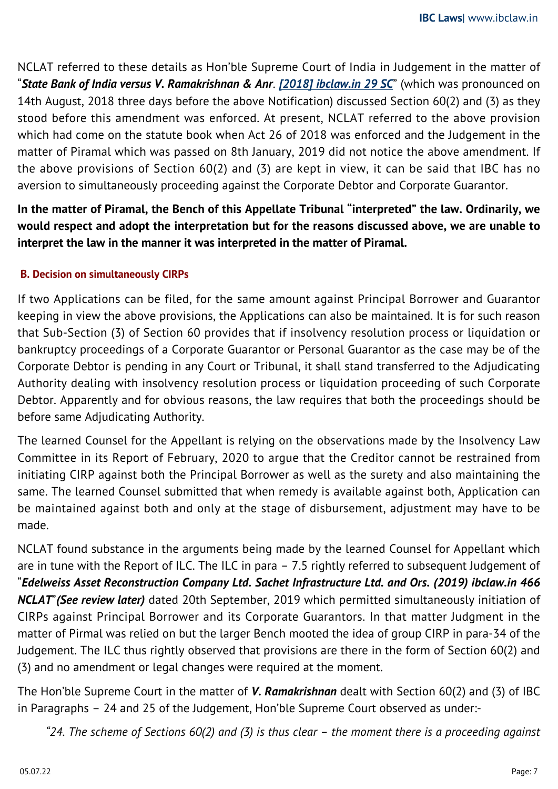NCLAT referred to these details as Hon'ble Supreme Court of India in Judgement in the matter of "*State Bank of India versus V. Ramakrishnan & Anr*. *[\[2018\] ibclaw.in 29 SC](https://ibclaw.in/state-bank-of-india-vs-v-ramakrishnan-anr-supreme-court/)*" (which was pronounced on 14th August, 2018 three days before the above Notification) discussed Section 60(2) and (3) as they stood before this amendment was enforced. At present, NCLAT referred to the above provision which had come on the statute book when Act 26 of 2018 was enforced and the Judgement in the matter of Piramal which was passed on 8th January, 2019 did not notice the above amendment. If the above provisions of Section 60(2) and (3) are kept in view, it can be said that IBC has no aversion to simultaneously proceeding against the Corporate Debtor and Corporate Guarantor.

**In the matter of Piramal, the Bench of this Appellate Tribunal "interpreted" the law. Ordinarily, we would respect and adopt the interpretation but for the reasons discussed above, we are unable to interpret the law in the manner it was interpreted in the matter of Piramal.**

# **B. Decision on simultaneously CIRPs**

If two Applications can be filed, for the same amount against Principal Borrower and Guarantor keeping in view the above provisions, the Applications can also be maintained. It is for such reason that Sub-Section (3) of Section 60 provides that if insolvency resolution process or liquidation or bankruptcy proceedings of a Corporate Guarantor or Personal Guarantor as the case may be of the Corporate Debtor is pending in any Court or Tribunal, it shall stand transferred to the Adjudicating Authority dealing with insolvency resolution process or liquidation proceeding of such Corporate Debtor. Apparently and for obvious reasons, the law requires that both the proceedings should be before same Adjudicating Authority.

The learned Counsel for the Appellant is relying on the observations made by the Insolvency Law Committee in its Report of February, 2020 to argue that the Creditor cannot be restrained from initiating CIRP against both the Principal Borrower as well as the surety and also maintaining the same. The learned Counsel submitted that when remedy is available against both, Application can be maintained against both and only at the stage of disbursement, adjustment may have to be made.

NCLAT found substance in the arguments being made by the learned Counsel for Appellant which are in tune with the Report of ILC. The ILC in para – 7.5 rightly referred to subsequent Judgement of "*Edelweiss Asset Reconstruction Company Ltd. Sachet Infrastructure Ltd. and Ors. (2019) ibclaw.in 466 NCLAT*"*(See review later)* dated 20th September, 2019 which permitted simultaneously initiation of CIRPs against Principal Borrower and its Corporate Guarantors. In that matter Judgment in the matter of Pirmal was relied on but the larger Bench mooted the idea of group CIRP in para-34 of the Judgement. The ILC thus rightly observed that provisions are there in the form of Section 60(2) and (3) and no amendment or legal changes were required at the moment.

The Hon'ble Supreme Court in the matter of *V. Ramakrishnan* dealt with Section 60(2) and (3) of IBC in Paragraphs – 24 and 25 of the Judgement, Hon'ble Supreme Court observed as under:-

*"24. The scheme of Sections 60(2) and (3) is thus clear – the moment there is a proceeding against*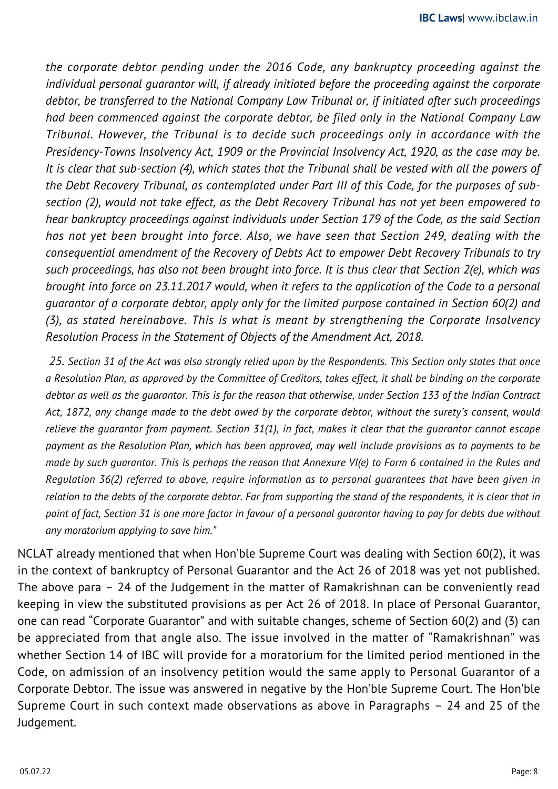*the corporate debtor pending under the 2016 Code, any bankruptcy proceeding against the individual personal guarantor will, if already initiated before the proceeding against the corporate debtor, be transferred to the National Company Law Tribunal or, if initiated after such proceedings had been commenced against the corporate debtor, be filed only in the National Company Law Tribunal. However, the Tribunal is to decide such proceedings only in accordance with the Presidency-Towns Insolvency Act, 1909 or the Provincial Insolvency Act, 1920, as the case may be. It is clear that sub-section (4), which states that the Tribunal shall be vested with all the powers of the Debt Recovery Tribunal, as contemplated under Part III of this Code, for the purposes of subsection (2), would not take effect, as the Debt Recovery Tribunal has not yet been empowered to hear bankruptcy proceedings against individuals under Section 179 of the Code, as the said Section has not yet been brought into force. Also, we have seen that Section 249, dealing with the consequential amendment of the Recovery of Debts Act to empower Debt Recovery Tribunals to try such proceedings, has also not been brought into force. It is thus clear that Section 2(e), which was brought into force on 23.11.2017 would, when it refers to the application of the Code to a personal guarantor of a corporate debtor, apply only for the limited purpose contained in Section 60(2) and (3), as stated hereinabove. This is what is meant by strengthening the Corporate Insolvency Resolution Process in the Statement of Objects of the Amendment Act, 2018.*

 *25. Section 31 of the Act was also strongly relied upon by the Respondents. This Section only states that once a Resolution Plan, as approved by the Committee of Creditors, takes effect, it shall be binding on the corporate debtor as well as the guarantor. This is for the reason that otherwise, under Section 133 of the Indian Contract Act, 1872, any change made to the debt owed by the corporate debtor, without the surety's consent, would relieve the guarantor from payment. Section 31(1), in fact, makes it clear that the guarantor cannot escape payment as the Resolution Plan, which has been approved, may well include provisions as to payments to be made by such guarantor. This is perhaps the reason that Annexure VI(e) to Form 6 contained in the Rules and Regulation 36(2) referred to above, require information as to personal guarantees that have been given in relation to the debts of the corporate debtor. Far from supporting the stand of the respondents, it is clear that in point of fact, Section 31 is one more factor in favour of a personal guarantor having to pay for debts due without any moratorium applying to save him."*

NCLAT already mentioned that when Hon'ble Supreme Court was dealing with Section 60(2), it was in the context of bankruptcy of Personal Guarantor and the Act 26 of 2018 was yet not published. The above para – 24 of the Judgement in the matter of Ramakrishnan can be conveniently read keeping in view the substituted provisions as per Act 26 of 2018. In place of Personal Guarantor, one can read "Corporate Guarantor" and with suitable changes, scheme of Section 60(2) and (3) can be appreciated from that angle also. The issue involved in the matter of "Ramakrishnan" was whether Section 14 of IBC will provide for a moratorium for the limited period mentioned in the Code, on admission of an insolvency petition would the same apply to Personal Guarantor of a Corporate Debtor. The issue was answered in negative by the Hon'ble Supreme Court. The Hon'ble Supreme Court in such context made observations as above in Paragraphs – 24 and 25 of the Judgement.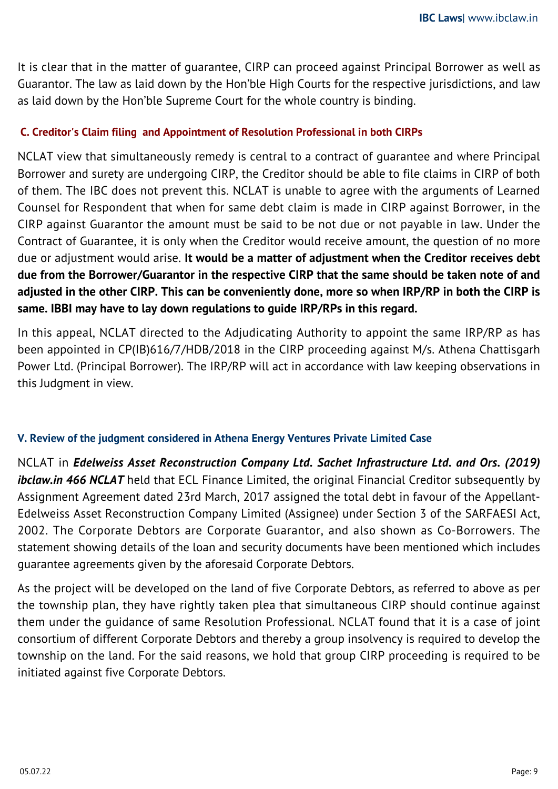It is clear that in the matter of guarantee, CIRP can proceed against Principal Borrower as well as Guarantor. The law as laid down by the Hon'ble High Courts for the respective jurisdictions, and law as laid down by the Hon'ble Supreme Court for the whole country is binding.

# **C. Creditor's Claim filing and Appointment of Resolution Professional in both CIRPs**

NCLAT view that simultaneously remedy is central to a contract of guarantee and where Principal Borrower and surety are undergoing CIRP, the Creditor should be able to file claims in CIRP of both of them. The IBC does not prevent this. NCLAT is unable to agree with the arguments of Learned Counsel for Respondent that when for same debt claim is made in CIRP against Borrower, in the CIRP against Guarantor the amount must be said to be not due or not payable in law. Under the Contract of Guarantee, it is only when the Creditor would receive amount, the question of no more due or adjustment would arise. **It would be a matter of adjustment when the Creditor receives debt due from the Borrower/Guarantor in the respective CIRP that the same should be taken note of and adjusted in the other CIRP. This can be conveniently done, more so when IRP/RP in both the CIRP is same. IBBI may have to lay down regulations to guide IRP/RPs in this regard.**

In this appeal, NCLAT directed to the Adjudicating Authority to appoint the same IRP/RP as has been appointed in CP(IB)616/7/HDB/2018 in the CIRP proceeding against M/s. Athena Chattisgarh Power Ltd. (Principal Borrower). The IRP/RP will act in accordance with law keeping observations in this Judgment in view.

## **V. Review of the judgment considered in Athena Energy Ventures Private Limited Case**

NCLAT in *Edelweiss Asset Reconstruction Company Ltd. Sachet Infrastructure Ltd. and Ors. (2019) ibclaw.in 466 NCLAT* held that ECL Finance Limited, the original Financial Creditor subsequently by Assignment Agreement dated 23rd March, 2017 assigned the total debt in favour of the Appellant-Edelweiss Asset Reconstruction Company Limited (Assignee) under Section 3 of the SARFAESI Act, 2002. The Corporate Debtors are Corporate Guarantor, and also shown as Co-Borrowers. The statement showing details of the loan and security documents have been mentioned which includes guarantee agreements given by the aforesaid Corporate Debtors.

As the project will be developed on the land of five Corporate Debtors, as referred to above as per the township plan, they have rightly taken plea that simultaneous CIRP should continue against them under the guidance of same Resolution Professional. NCLAT found that it is a case of joint consortium of different Corporate Debtors and thereby a group insolvency is required to develop the township on the land. For the said reasons, we hold that group CIRP proceeding is required to be initiated against five Corporate Debtors.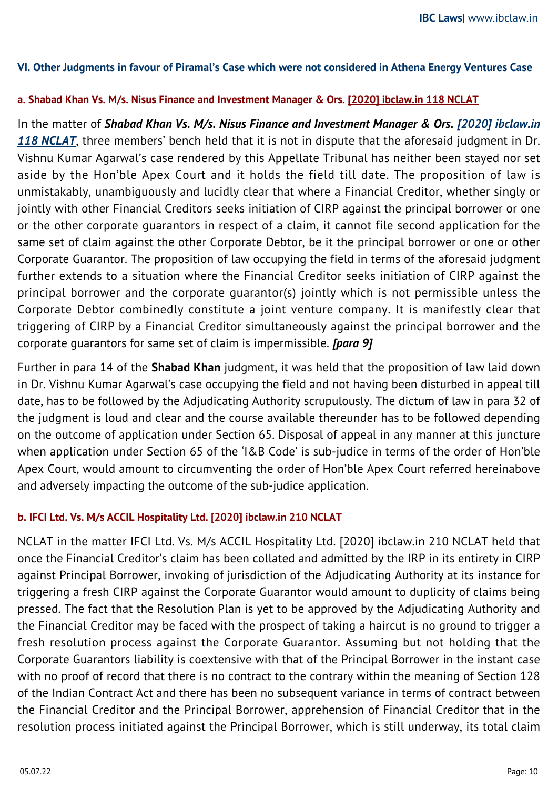## **VI. Other Judgments in favour of Piramal's Case which were not considered in Athena Energy Ventures Case**

#### **a. Shabad Khan Vs. M/s. Nisus Finance and Investment Manager & Ors. [\[2020\] ibclaw.in 118 NCLAT](https://ibclaw.in/shabad-khan-vs-m-s-nisus-finance-and-investment-manager-ors-nclat/)**

In the matter of *Shabad Khan Vs. M/s. Nisus Finance and Investment Manager & Ors. [\[2020\] ibclaw.in](https://ibclaw.in/shabad-khan-vs-m-s-nisus-finance-and-investment-manager-ors-nclat/)* [118 NCLAT](https://ibclaw.in/shabad-khan-vs-m-s-nisus-finance-and-investment-manager-ors-nclat/), three members' bench held that it is not in dispute that the aforesaid judgment in Dr. Vishnu Kumar Agarwal's case rendered by this Appellate Tribunal has neither been stayed nor set aside by the Hon'ble Apex Court and it holds the field till date. The proposition of law is unmistakably, unambiguously and lucidly clear that where a Financial Creditor, whether singly or jointly with other Financial Creditors seeks initiation of CIRP against the principal borrower or one or the other corporate guarantors in respect of a claim, it cannot file second application for the same set of claim against the other Corporate Debtor, be it the principal borrower or one or other Corporate Guarantor. The proposition of law occupying the field in terms of the aforesaid judgment further extends to a situation where the Financial Creditor seeks initiation of CIRP against the principal borrower and the corporate guarantor(s) jointly which is not permissible unless the Corporate Debtor combinedly constitute a joint venture company. It is manifestly clear that triggering of CIRP by a Financial Creditor simultaneously against the principal borrower and the corporate guarantors for same set of claim is impermissible. *[para 9]*

Further in para 14 of the **Shabad Khan** judgment, it was held that the proposition of law laid down in Dr. Vishnu Kumar Agarwal's case occupying the field and not having been disturbed in appeal till date, has to be followed by the Adjudicating Authority scrupulously. The dictum of law in para 32 of the judgment is loud and clear and the course available thereunder has to be followed depending on the outcome of application under Section 65. Disposal of appeal in any manner at this juncture when application under Section 65 of the 'I&B Code' is sub-judice in terms of the order of Hon'ble Apex Court, would amount to circumventing the order of Hon'ble Apex Court referred hereinabove and adversely impacting the outcome of the sub-judice application.

## **b. IFCI Ltd. Vs. M/s ACCIL Hospitality Ltd. [\[2020\] ibclaw.in 210 NCLAT](https://ibclaw.in/invoking-of-jurisdiction-of-the-adjudicating-authority-at-its-instance-for-triggering-a-fresh-cirp-against-the-corporate-guarantor-would-amount-to-duplicity-of-claims-being-pressed-ifci-ltd-vs-m-s-a/)**

NCLAT in the matter IFCI Ltd. Vs. M/s ACCIL Hospitality Ltd. [2020] ibclaw.in 210 NCLAT held that once the Financial Creditor's claim has been collated and admitted by the IRP in its entirety in CIRP against Principal Borrower, invoking of jurisdiction of the Adjudicating Authority at its instance for triggering a fresh CIRP against the Corporate Guarantor would amount to duplicity of claims being pressed. The fact that the Resolution Plan is yet to be approved by the Adjudicating Authority and the Financial Creditor may be faced with the prospect of taking a haircut is no ground to trigger a fresh resolution process against the Corporate Guarantor. Assuming but not holding that the Corporate Guarantors liability is coextensive with that of the Principal Borrower in the instant case with no proof of record that there is no contract to the contrary within the meaning of Section 128 of the Indian Contract Act and there has been no subsequent variance in terms of contract between the Financial Creditor and the Principal Borrower, apprehension of Financial Creditor that in the resolution process initiated against the Principal Borrower, which is still underway, its total claim